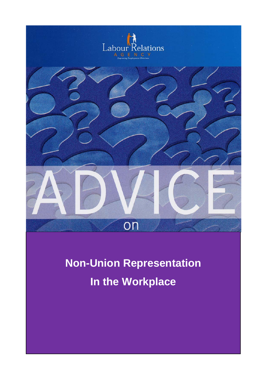

# **Non-Union Representation In the Workplace**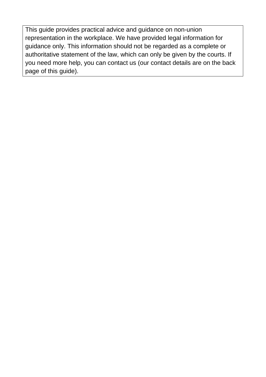This guide provides practical advice and guidance on non-union representation in the workplace. We have provided legal information for guidance only. This information should not be regarded as a complete or authoritative statement of the law, which can only be given by the courts. If you need more help, you can contact us (our contact details are on the back page of this guide).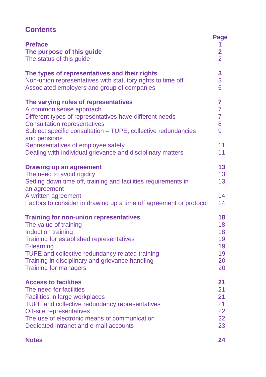# **Contents**

| <b>Preface</b><br>The purpose of this guide<br>The status of this guide                                                                                                                                                                            | <b>Page</b><br>1<br>$\overline{\mathbf{2}}$<br>$\overline{2}$ |
|----------------------------------------------------------------------------------------------------------------------------------------------------------------------------------------------------------------------------------------------------|---------------------------------------------------------------|
| The types of representatives and their rights                                                                                                                                                                                                      | $\mathbf{3}$                                                  |
| Non-union representatives with statutory rights to time off                                                                                                                                                                                        | 3                                                             |
| Associated employers and group of companies                                                                                                                                                                                                        | 6                                                             |
| The varying roles of representatives<br>A common sense approach<br>Different types of representatives have different needs<br><b>Consultation representatives</b><br>Subject specific consultation – TUPE, collective redundancies<br>and pensions | $\overline{7}$<br>$\overline{7}$<br>$\overline{7}$<br>8<br>9  |
| Representatives of employee safety                                                                                                                                                                                                                 | 11                                                            |
| Dealing with individual grievance and disciplinary matters                                                                                                                                                                                         | 11                                                            |
| <b>Drawing up an agreement</b><br>The need to avoid rigidity<br>Setting down time off, training and facilities requirements in<br>an agreement                                                                                                     | 13<br>13<br>13                                                |
| A written agreement                                                                                                                                                                                                                                | 14                                                            |
| Factors to consider in drawing up a time off agreement or protocol                                                                                                                                                                                 | 14                                                            |
| <b>Training for non-union representatives</b>                                                                                                                                                                                                      | 18                                                            |
| The value of training                                                                                                                                                                                                                              | 18                                                            |
| Induction training                                                                                                                                                                                                                                 | 18                                                            |
| Training for established representatives                                                                                                                                                                                                           | 19                                                            |
| E-learning                                                                                                                                                                                                                                         | 19                                                            |
| TUPE and collective redundancy related training                                                                                                                                                                                                    | 19                                                            |
| Training in disciplinary and grievance handling                                                                                                                                                                                                    | 20                                                            |
| <b>Training for managers</b>                                                                                                                                                                                                                       | 20                                                            |
| <b>Access to facilities</b>                                                                                                                                                                                                                        | 21                                                            |
| The need for facilities                                                                                                                                                                                                                            | 21                                                            |
| <b>Facilities in large workplaces</b>                                                                                                                                                                                                              | 21                                                            |
| <b>TUPE and collective redundancy representatives</b>                                                                                                                                                                                              | 21                                                            |
| Off-site representatives                                                                                                                                                                                                                           | 22                                                            |
| The use of electronic means of communication                                                                                                                                                                                                       | 22                                                            |
| Dedicated intranet and e-mail accounts                                                                                                                                                                                                             | 23                                                            |

#### **Notes 24**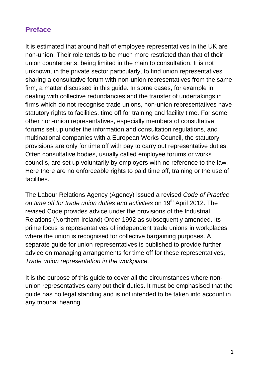# **Preface**

It is estimated that around half of employee representatives in the UK are non-union. Their role tends to be much more restricted than that of their union counterparts, being limited in the main to consultation. It is not unknown, in the private sector particularly, to find union representatives sharing a consultative forum with non-union representatives from the same firm, a matter discussed in this guide. In some cases, for example in dealing with collective redundancies and the transfer of undertakings in firms which do not recognise trade unions, non-union representatives have statutory rights to facilities, time off for training and facility time. For some other non-union representatives, especially members of consultative forums set up under the information and consultation regulations, and multinational companies with a European Works Council, the statutory provisions are only for time off with pay to carry out representative duties. Often consultative bodies, usually called employee forums or works councils, are set up voluntarily by employers with no reference to the law. Here there are no enforceable rights to paid time off, training or the use of facilities.

The Labour Relations Agency (Agency) issued a revised *Code of Practice on time off for trade union duties and activities* on 19th April 2012. The revised Code provides advice under the provisions of the Industrial Relations (Northern Ireland) Order 1992 as subsequently amended. Its prime focus is representatives of independent trade unions in workplaces where the union is recognised for collective bargaining purposes. A separate guide for union representatives is published to provide further advice on managing arrangements for time off for these representatives, *Trade union representation in the workplace.*

It is the purpose of this guide to cover all the circumstances where nonunion representatives carry out their duties. It must be emphasised that the guide has no legal standing and is not intended to be taken into account in any tribunal hearing.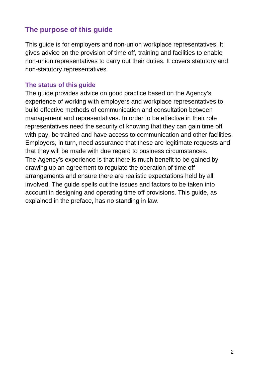## **The purpose of this guide**

This guide is for employers and non-union workplace representatives. It gives advice on the provision of time off, training and facilities to enable non-union representatives to carry out their duties. It covers statutory and non-statutory representatives.

## **The status of this guide**

The guide provides advice on good practice based on the Agency's experience of working with employers and workplace representatives to build effective methods of communication and consultation between management and representatives. In order to be effective in their role representatives need the security of knowing that they can gain time off with pay, be trained and have access to communication and other facilities. Employers, in turn, need assurance that these are legitimate requests and that they will be made with due regard to business circumstances. The Agency's experience is that there is much benefit to be gained by drawing up an agreement to regulate the operation of time off arrangements and ensure there are realistic expectations held by all involved. The guide spells out the issues and factors to be taken into account in designing and operating time off provisions. This guide, as explained in the preface, has no standing in law.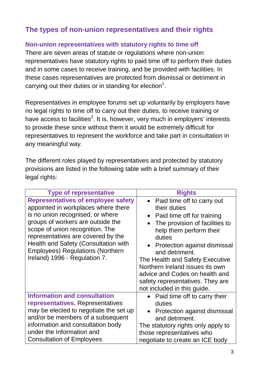# **The types of non-union representatives and their rights**

## **Non-union representatives with statutory rights to time off**

There are seven areas of statute or regulations where non-union representatives have statutory rights to paid time off to perform their duties and in some cases to receive training, and be provided with facilities. In these cases representatives are protected from dismissal or detriment in carrying out their duties or in standing for election**<sup>1</sup>** .

Representatives in employee forums set up voluntarily by employers have no legal rights to time off to carry out their duties, to receive training or have access to facilities<sup>2</sup>. It is, however, very much in employers' interests to provide these since without them it would be extremely difficult for representatives to represent the workforce and take part in consultation in any meaningful way.

The different roles played by representatives and protected by statutory provisions are listed in the following table with a brief summary of their legal rights:

| <b>Type of representative</b>                                                                                                                                                                                                                                                                                                                          | <b>Rights</b>                                                                                                                                                                                                                                                                                                                                                                  |
|--------------------------------------------------------------------------------------------------------------------------------------------------------------------------------------------------------------------------------------------------------------------------------------------------------------------------------------------------------|--------------------------------------------------------------------------------------------------------------------------------------------------------------------------------------------------------------------------------------------------------------------------------------------------------------------------------------------------------------------------------|
| <b>Representatives of employee safety</b><br>appointed in workplaces where there<br>is no union recognised, or where<br>groups of workers are outside the<br>scope of union recognition. The<br>representatives are covered by the<br>Health and Safety (Consultation with<br><b>Employees) Regulations (Northern</b><br>Ireland) 1996 - Regulation 7. | • Paid time off to carry out<br>their duties<br>Paid time off for training<br>The provision of facilities to<br>help them perform their<br>duties<br>Protection against dismissal<br>and detriment.<br>The Health and Safety Executive<br>Northern Ireland issues its own<br>advice and Codes on health and<br>safety representatives. They are<br>not included in this guide. |
| <b>Information and consultation</b><br>representatives. Representatives<br>may be elected to negotiate the set up<br>and/or be members of a subsequent<br>information and consultation body<br>under the Information and<br><b>Consultation of Employees</b>                                                                                           | • Paid time off to carry their<br>duties<br>Protection against dismissal<br>and detriment.<br>The statutory rights only apply to<br>those representatives who<br>negotiate to create an ICE body                                                                                                                                                                               |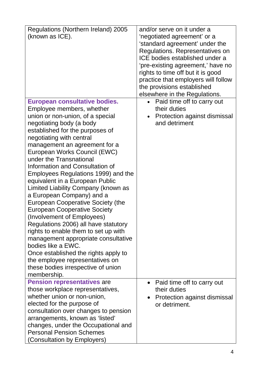| Regulations (Northern Ireland) 2005<br>(known as ICE).                                                                                                                                                                                                                                                                                                                                                                                                                                                                                                                                                                                                                                                                                                                                                                 | and/or serve on it under a<br>'negotiated agreement' or a<br>'standard agreement' under the<br>Regulations. Representatives on<br>ICE bodies established under a<br>'pre-existing agreement,' have no<br>rights to time off but it is good<br>practice that employers will follow<br>the provisions established |
|------------------------------------------------------------------------------------------------------------------------------------------------------------------------------------------------------------------------------------------------------------------------------------------------------------------------------------------------------------------------------------------------------------------------------------------------------------------------------------------------------------------------------------------------------------------------------------------------------------------------------------------------------------------------------------------------------------------------------------------------------------------------------------------------------------------------|-----------------------------------------------------------------------------------------------------------------------------------------------------------------------------------------------------------------------------------------------------------------------------------------------------------------|
|                                                                                                                                                                                                                                                                                                                                                                                                                                                                                                                                                                                                                                                                                                                                                                                                                        | elsewhere in the Regulations.                                                                                                                                                                                                                                                                                   |
| <b>European consultative bodies.</b><br>Employee members, whether<br>union or non-union, of a special<br>negotiating body (a body<br>established for the purposes of<br>negotiating with central<br>management an agreement for a<br>European Works Council (EWC)<br>under the Transnational<br>Information and Consultation of<br>Employees Regulations 1999) and the<br>equivalent in a European Public<br>Limited Liability Company (known as<br>a European Company) and a<br><b>European Cooperative Society (the</b><br><b>European Cooperative Society</b><br>(Involvement of Employees)<br>Regulations 2006) all have statutory<br>rights to enable them to set up with<br>management appropriate consultative<br>bodies like a EWC.<br>Once established the rights apply to<br>the employee representatives on | Paid time off to carry out<br>their duties<br>Protection against dismissal<br>and detriment                                                                                                                                                                                                                     |
| these bodies irrespective of union<br>membership.                                                                                                                                                                                                                                                                                                                                                                                                                                                                                                                                                                                                                                                                                                                                                                      |                                                                                                                                                                                                                                                                                                                 |
| <b>Pension representatives are</b><br>those workplace representatives,<br>whether union or non-union,<br>elected for the purpose of<br>consultation over changes to pension<br>arrangements, known as 'listed'<br>changes, under the Occupational and<br><b>Personal Pension Schemes</b><br>(Consultation by Employers)                                                                                                                                                                                                                                                                                                                                                                                                                                                                                                | Paid time off to carry out<br>their duties<br>Protection against dismissal<br>$\bullet$<br>or detriment.                                                                                                                                                                                                        |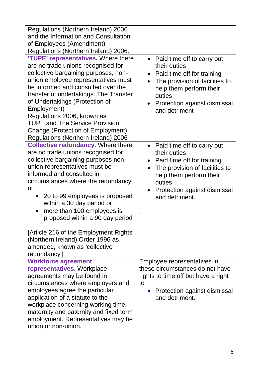| Regulations (Northern Ireland) 2006<br>and the Information and Consultation<br>of Employees (Amendment)<br>Regulations (Northern Ireland) 2006.<br>'TUPE' representatives. Where there<br>are no trade unions recognised for<br>collective bargaining purposes, non-<br>union employee representatives must<br>be informed and consulted over the<br>transfer of undertakings. The Transfer<br>of Undertakings (Protection of<br>Employment)<br>Regulations 2006, known as<br><b>TUPE and The Service Provision</b><br><b>Change (Protection of Employment)</b><br>Regulations (Northern Ireland) 2006 | • Paid time off to carry out<br>their duties<br>Paid time off for training<br>$\bullet$<br>The provision of facilities to<br>help them perform their<br>duties<br>Protection against dismissal<br>$\bullet$<br>and detriment |
|--------------------------------------------------------------------------------------------------------------------------------------------------------------------------------------------------------------------------------------------------------------------------------------------------------------------------------------------------------------------------------------------------------------------------------------------------------------------------------------------------------------------------------------------------------------------------------------------------------|------------------------------------------------------------------------------------------------------------------------------------------------------------------------------------------------------------------------------|
| <b>Collective redundancy. Where there</b><br>are no trade unions recognised for<br>collective bargaining purposes non-<br>union representatives must be<br>informed and consulted in<br>circumstances where the redundancy<br><b>of</b><br>20 to 99 employees is proposed<br>within a 30 day period or<br>more than 100 employees is<br>$\bullet$<br>proposed within a 90 day period<br>[Article 216 of the Employment Rights<br>(Northern Ireland) Order 1996 as<br>amended, known as 'collective<br>redundancy']                                                                                     | • Paid time off to carry out<br>their duties<br>• Paid time off for training<br>The provision of facilities to<br>help them perform their<br>duties<br>Protection against dismissal<br>and detriment.                        |
| <b>Workforce agreement</b><br>representatives. Workplace<br>agreements may be found in<br>circumstances where employers and<br>employees agree the particular<br>application of a statute to the<br>workplace concerning working time,<br>maternity and paternity and fixed term<br>employment. Representatives may be<br>union or non-union.                                                                                                                                                                                                                                                          | Employee representatives in<br>these circumstances do not have<br>rights to time off but have a right<br>to<br>Protection against dismissal<br>$\bullet$<br>and detriment.                                                   |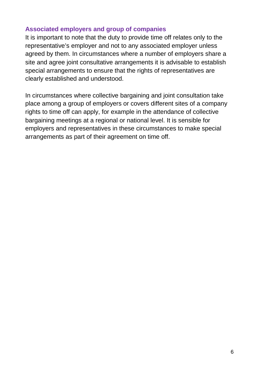## **Associated employers and group of companies**

It is important to note that the duty to provide time off relates only to the representative's employer and not to any associated employer unless agreed by them. In circumstances where a number of employers share a site and agree joint consultative arrangements it is advisable to establish special arrangements to ensure that the rights of representatives are clearly established and understood.

In circumstances where collective bargaining and joint consultation take place among a group of employers or covers different sites of a company rights to time off can apply, for example in the attendance of collective bargaining meetings at a regional or national level. It is sensible for employers and representatives in these circumstances to make special arrangements as part of their agreement on time off.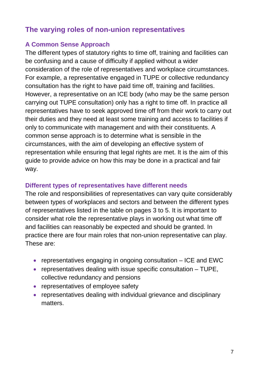# **The varying roles of non-union representatives**

## **A Common Sense Approach**

The different types of statutory rights to time off, training and facilities can be confusing and a cause of difficulty if applied without a wider consideration of the role of representatives and workplace circumstances. For example, a representative engaged in TUPE or collective redundancy consultation has the right to have paid time off, training and facilities. However, a representative on an ICE body (who may be the same person carrying out TUPE consultation) only has a right to time off. In practice all representatives have to seek approved time off from their work to carry out their duties and they need at least some training and access to facilities if only to communicate with management and with their constituents. A common sense approach is to determine what is sensible in the circumstances, with the aim of developing an effective system of representation while ensuring that legal rights are met. It is the aim of this guide to provide advice on how this may be done in a practical and fair way.

## **Different types of representatives have different needs**

The role and responsibilities of representatives can vary quite considerably between types of workplaces and sectors and between the different types of representatives listed in the table on pages 3 to 5. It is important to consider what role the representative plays in working out what time off and facilities can reasonably be expected and should be granted. In practice there are four main roles that non-union representative can play. These are:

- representatives engaging in ongoing consultation ICE and EWC
- $\bullet$  representatives dealing with issue specific consultation  $-$  TUPE, collective redundancy and pensions
- representatives of employee safety
- representatives dealing with individual grievance and disciplinary matters.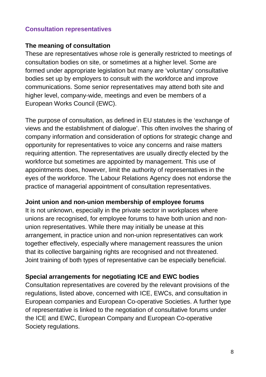## **Consultation representatives**

## **The meaning of consultation**

These are representatives whose role is generally restricted to meetings of consultation bodies on site, or sometimes at a higher level. Some are formed under appropriate legislation but many are 'voluntary' consultative bodies set up by employers to consult with the workforce and improve communications. Some senior representatives may attend both site and higher level, company-wide, meetings and even be members of a European Works Council (EWC).

The purpose of consultation, as defined in EU statutes is the 'exchange of views and the establishment of dialogue'. This often involves the sharing of company information and consideration of options for strategic change and opportunity for representatives to voice any concerns and raise matters requiring attention. The representatives are usually directly elected by the workforce but sometimes are appointed by management. This use of appointments does, however, limit the authority of representatives in the eyes of the workforce. The Labour Relations Agency does not endorse the practice of managerial appointment of consultation representatives.

## **Joint union and non-union membership of employee forums**

It is not unknown, especially in the private sector in workplaces where unions are recognised, for employee forums to have both union and nonunion representatives. While there may initially be unease at this arrangement, in practice union and non-union representatives can work together effectively, especially where management reassures the union that its collective bargaining rights are recognised and not threatened. Joint training of both types of representative can be especially beneficial.

## **Special arrangements for negotiating ICE and EWC bodies**

Consultation representatives are covered by the relevant provisions of the regulations, listed above, concerned with ICE, EWCs, and consultation in European companies and European Co-operative Societies. A further type of representative is linked to the negotiation of consultative forums under the ICE and EWC, European Company and European Co-operative Society regulations.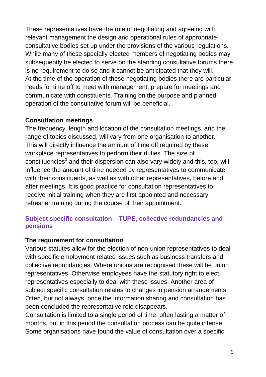These representatives have the role of negotiating and agreeing with relevant management the design and operational rules of appropriate consultative bodies set up under the provisions of the various regulations. While many of these specially elected members of negotiating bodies may subsequently be elected to serve on the standing consultative forums there is no requirement to do so and it cannot be anticipated that they will. At the time of the operation of these negotiating bodies there are particular needs for time off to meet with management, prepare for meetings and communicate with constituents. Training on the purpose and planned operation of the consultative forum will be beneficial.

## **Consultation meetings**

The frequency, length and location of the consultation meetings, and the range of topics discussed, will vary from one organisation to another. This will directly influence the amount of time off required by these workplace representatives to perform their duties. The size of constituencies**<sup>3</sup>** and their dispersion can also vary widely and this, too, will influence the amount of time needed by representatives to communicate with their constituents, as well as with other representatives, before and after meetings. It is good practice for consultation representatives to receive initial training when they are first appointed and necessary refresher training during the course of their appointment.

## **Subject specific consultation – TUPE, collective redundancies and pensions**

## **The requirement for consultation**

Various statutes allow for the election of non-union representatives to deal with specific employment related issues such as business transfers and collective redundancies. Where unions are recognised these will be union representatives. Otherwise employees have the statutory right to elect representatives especially to deal with these issues. Another area of subject specific consultation relates to changes in pension arrangements. Often, but not always, once the information sharing and consultation has been concluded the representative role disappears.

Consultation is limited to a single period of time, often lasting a matter of months, but in this period the consultation process can be quite intense. Some organisations have found the value of consultation over a specific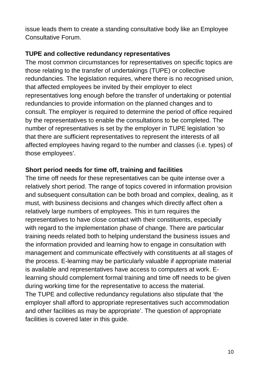issue leads them to create a standing consultative body like an Employee Consultative Forum.

## **TUPE and collective redundancy representatives**

The most common circumstances for representatives on specific topics are those relating to the transfer of undertakings (TUPE) or collective redundancies. The legislation requires, where there is no recognised union, that affected employees be invited by their employer to elect representatives long enough before the transfer of undertaking or potential redundancies to provide information on the planned changes and to consult. The employer is required to determine the period of office required by the representatives to enable the consultations to be completed. The number of representatives is set by the employer in TUPE legislation 'so that there are sufficient representatives to represent the interests of all affected employees having regard to the number and classes (i.e. types) of those employees'.

## **Short period needs for time off, training and facilities**

The time off needs for these representatives can be quite intense over a relatively short period. The range of topics covered in information provision and subsequent consultation can be both broad and complex, dealing, as it must, with business decisions and changes which directly affect often a relatively large numbers of employees. This in turn requires the representatives to have close contact with their constituents, especially with regard to the implementation phase of change. There are particular training needs related both to helping understand the business issues and the information provided and learning how to engage in consultation with management and communicate effectively with constituents at all stages of the process. E-learning may be particularly valuable if appropriate material is available and representatives have access to computers at work. Elearning should complement formal training and time off needs to be given during working time for the representative to access the material. The TUPE and collective redundancy regulations also stipulate that 'the employer shall afford to appropriate representatives such accommodation and other facilities as may be appropriate'. The question of appropriate facilities is covered later in this guide.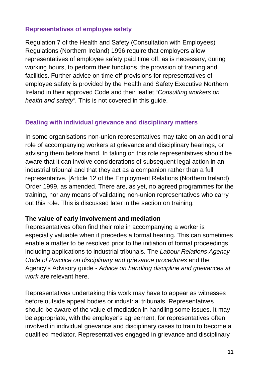## **Representatives of employee safety**

Regulation 7 of the Health and Safety (Consultation with Employees) Regulations (Northern Ireland) 1996 require that employers allow representatives of employee safety paid time off, as is necessary, during working hours, to perform their functions, the provision of training and facilities. Further advice on time off provisions for representatives of employee safety is provided by the Health and Safety Executive Northern Ireland in their approved Code and their leaflet "*Consulting workers on health and safety"*. This is not covered in this guide.

## **Dealing with individual grievance and disciplinary matters**

In some organisations non-union representatives may take on an additional role of accompanying workers at grievance and disciplinary hearings, or advising them before hand. In taking on this role representatives should be aware that it can involve considerations of subsequent legal action in an industrial tribunal and that they act as a companion rather than a full representative. [Article 12 of the Employment Relations (Northern Ireland) Order 1999, as amended. There are, as yet, no agreed programmes for the training, nor any means of validating non-union representatives who carry out this role. This is discussed later in the section on training.

#### **The value of early involvement and mediation**

Representatives often find their role in accompanying a worker is especially valuable when it precedes a formal hearing. This can sometimes enable a matter to be resolved prior to the initiation of formal proceedings including applications to industrial tribunals. The *Labour Relations Agency Code of Practice on disciplinary and grievance procedures* and the Agency's Advisory guide - *Advice on handling discipline and grievances at work* are relevant here.

Representatives undertaking this work may have to appear as witnesses before outside appeal bodies or industrial tribunals. Representatives should be aware of the value of mediation in handling some issues. It may be appropriate, with the employer's agreement, for representatives often involved in individual grievance and disciplinary cases to train to become a qualified mediator. Representatives engaged in grievance and disciplinary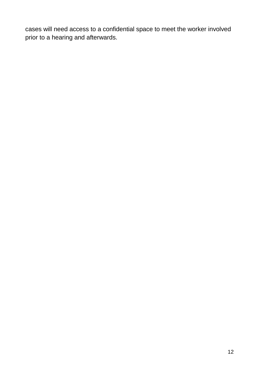cases will need access to a confidential space to meet the worker involved prior to a hearing and afterwards.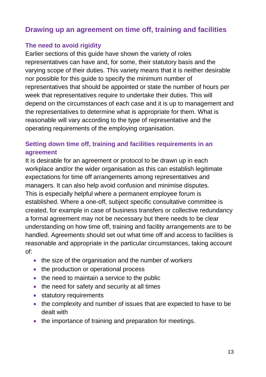# **Drawing up an agreement on time off, training and facilities**

## **The need to avoid rigidity**

Earlier sections of this guide have shown the variety of roles representatives can have and, for some, their statutory basis and the varying scope of their duties. This variety means that it is neither desirable nor possible for this guide to specify the minimum number of representatives that should be appointed or state the number of hours per week that representatives require to undertake their duties. This will depend on the circumstances of each case and it is up to management and the representatives to determine what is appropriate for them. What is reasonable will vary according to the type of representative and the operating requirements of the employing organisation.

## **Setting down time off, training and facilities requirements in an agreement**

It is desirable for an agreement or protocol to be drawn up in each workplace and/or the wider organisation as this can establish legitimate expectations for time off arrangements among representatives and managers. It can also help avoid confusion and minimise disputes. This is especially helpful where a permanent employee forum is established. Where a one-off, subject specific consultative committee is created, for example in case of business transfers or collective redundancy a formal agreement may not be necessary but there needs to be clear understanding on how time off, training and facility arrangements are to be handled. Agreements should set out what time off and access to facilities is reasonable and appropriate in the particular circumstances, taking account of:

- the size of the organisation and the number of workers
- the production or operational process
- the need to maintain a service to the public
- the need for safety and security at all times
- statutory requirements
- the complexity and number of issues that are expected to have to be dealt with
- the importance of training and preparation for meetings.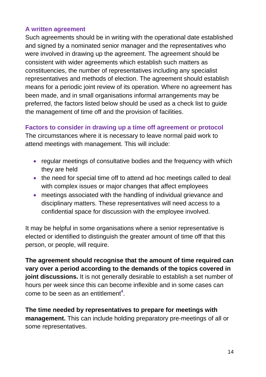## **A written agreement**

Such agreements should be in writing with the operational date established and signed by a nominated senior manager and the representatives who were involved in drawing up the agreement. The agreement should be consistent with wider agreements which establish such matters as constituencies, the number of representatives including any specialist representatives and methods of election. The agreement should establish means for a periodic joint review of its operation. Where no agreement has been made, and in small organisations informal arrangements may be preferred, the factors listed below should be used as a check list to guide the management of time off and the provision of facilities.

## **Factors to consider in drawing up a time off agreement or protocol**

The circumstances where it is necessary to leave normal paid work to attend meetings with management. This will include:

- regular meetings of consultative bodies and the frequency with which they are held
- the need for special time off to attend ad hoc meetings called to deal with complex issues or major changes that affect employees
- meetings associated with the handling of individual grievance and disciplinary matters. These representatives will need access to a confidential space for discussion with the employee involved.

It may be helpful in some organisations where a senior representative is elected or identified to distinguish the greater amount of time off that this person, or people, will require.

**The agreement should recognise that the amount of time required can vary over a period according to the demands of the topics covered in joint discussions.** It is not generally desirable to establish a set number of hours per week since this can become inflexible and in some cases can come to be seen as an entitlement**<sup>4</sup>** .

**The time needed by representatives to prepare for meetings with management.** This can include holding preparatory pre-meetings of all or some representatives.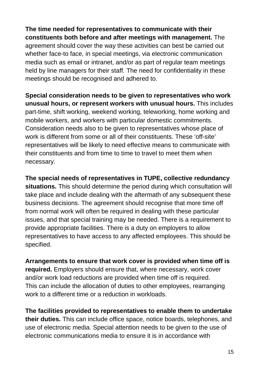**The time needed for representatives to communicate with their constituents both before and after meetings with management.** The agreement should cover the way these activities can best be carried out whether face-to face, in special meetings, via electronic communication media such as email or intranet, and/or as part of regular team meetings held by line managers for their staff. The need for confidentiality in these meetings should be recognised and adhered to.

**Special consideration needs to be given to representatives who work unusual hours, or represent workers with unusual hours.** This includes part-time, shift working, weekend working, teleworking, home working and mobile workers, and workers with particular domestic commitments. Consideration needs also to be given to representatives whose place of work is different from some or all of their constituents. These 'off-site' representatives will be likely to need effective means to communicate with their constituents and from time to time to travel to meet them when necessary.

**The special needs of representatives in TUPE, collective redundancy situations.** This should determine the period during which consultation will take place and include dealing with the aftermath of any subsequent these business decisions. The agreement should recognise that more time off from normal work will often be required in dealing with these particular issues, and that special training may be needed. There is a requirement to provide appropriate facilities. There is a duty on employers to allow representatives to have access to any affected employees. This should be specified.

**Arrangements to ensure that work cover is provided when time off is required.** Employers should ensure that, where necessary, work cover and/or work load reductions are provided when time off is required. This can include the allocation of duties to other employees, rearranging work to a different time or a reduction in workloads.

**The facilities provided to representatives to enable them to undertake their duties.** This can include office space, notice boards, telephones, and use of electronic media. Special attention needs to be given to the use of electronic communications media to ensure it is in accordance with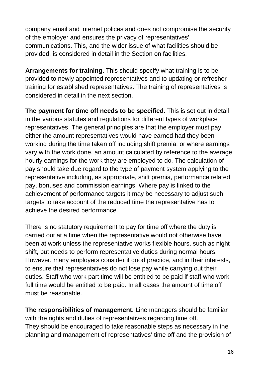company email and internet polices and does not compromise the security of the employer and ensures the privacy of representatives' communications. This, and the wider issue of what facilities should be provided, is considered in detail in the Section on facilities.

**Arrangements for training.** This should specify what training is to be provided to newly appointed representatives and to updating or refresher training for established representatives. The training of representatives is considered in detail in the next section.

**The payment for time off needs to be specified.** This is set out in detail in the various statutes and regulations for different types of workplace representatives. The general principles are that the employer must pay either the amount representatives would have earned had they been working during the time taken off including shift premia, or where earnings vary with the work done, an amount calculated by reference to the average hourly earnings for the work they are employed to do. The calculation of pay should take due regard to the type of payment system applying to the representative including, as appropriate, shift premia, performance related pay, bonuses and commission earnings. Where pay is linked to the achievement of performance targets it may be necessary to adjust such targets to take account of the reduced time the representative has to achieve the desired performance.

There is no statutory requirement to pay for time off where the duty is carried out at a time when the representative would not otherwise have been at work unless the representative works flexible hours, such as night shift, but needs to perform representative duties during normal hours. However, many employers consider it good practice, and in their interests, to ensure that representatives do not lose pay while carrying out their duties. Staff who work part time will be entitled to be paid if staff who work full time would be entitled to be paid. In all cases the amount of time off must be reasonable.

**The responsibilities of management.** Line managers should be familiar with the rights and duties of representatives regarding time off. They should be encouraged to take reasonable steps as necessary in the planning and management of representatives' time off and the provision of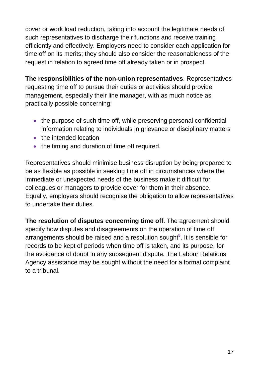cover or work load reduction, taking into account the legitimate needs of such representatives to discharge their functions and receive training efficiently and effectively. Employers need to consider each application for time off on its merits; they should also consider the reasonableness of the request in relation to agreed time off already taken or in prospect.

**The responsibilities of the non-union representatives**. Representatives requesting time off to pursue their duties or activities should provide management, especially their line manager, with as much notice as practically possible concerning:

- the purpose of such time off, while preserving personal confidential information relating to individuals in grievance or disciplinary matters
- the intended location
- the timing and duration of time off required.

Representatives should minimise business disruption by being prepared to be as flexible as possible in seeking time off in circumstances where the immediate or unexpected needs of the business make it difficult for colleagues or managers to provide cover for them in their absence. Equally, employers should recognise the obligation to allow representatives to undertake their duties.

**The resolution of disputes concerning time off.** The agreement should specify how disputes and disagreements on the operation of time off arrangements should be raised and a resolution sought**<sup>5</sup>** . It is sensible for records to be kept of periods when time off is taken, and its purpose, for the avoidance of doubt in any subsequent dispute. The Labour Relations Agency assistance may be sought without the need for a formal complaint to a tribunal.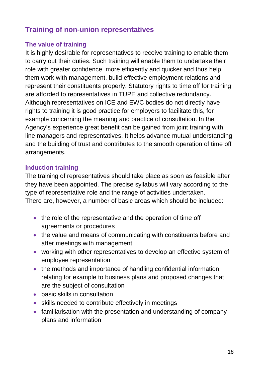# **Training of non-union representatives**

## **The value of training**

It is highly desirable for representatives to receive training to enable them to carry out their duties. Such training will enable them to undertake their role with greater confidence, more efficiently and quicker and thus help them work with management, build effective employment relations and represent their constituents properly. Statutory rights to time off for training are afforded to representatives in TUPE and collective redundancy. Although representatives on ICE and EWC bodies do not directly have rights to training it is good practice for employers to facilitate this, for example concerning the meaning and practice of consultation. In the Agency's experience great benefit can be gained from joint training with line managers and representatives. It helps advance mutual understanding and the building of trust and contributes to the smooth operation of time off arrangements.

## **Induction training**

The training of representatives should take place as soon as feasible after they have been appointed. The precise syllabus will vary according to the type of representative role and the range of activities undertaken. There are, however, a number of basic areas which should be included:

- the role of the representative and the operation of time off agreements or procedures
- the value and means of communicating with constituents before and after meetings with management
- working with other representatives to develop an effective system of employee representation
- the methods and importance of handling confidential information, relating for example to business plans and proposed changes that are the subject of consultation
- basic skills in consultation
- skills needed to contribute effectively in meetings
- familiarisation with the presentation and understanding of company plans and information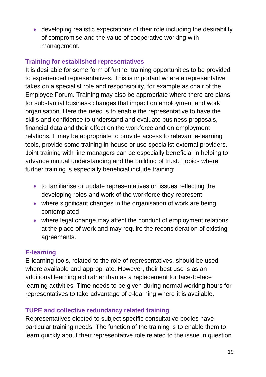• developing realistic expectations of their role including the desirability of compromise and the value of cooperative working with management.

## **Training for established representatives**

It is desirable for some form of further training opportunities to be provided to experienced representatives. This is important where a representative takes on a specialist role and responsibility, for example as chair of the Employee Forum. Training may also be appropriate where there are plans for substantial business changes that impact on employment and work organisation. Here the need is to enable the representative to have the skills and confidence to understand and evaluate business proposals, financial data and their effect on the workforce and on employment relations. It may be appropriate to provide access to relevant e-learning tools, provide some training in-house or use specialist external providers. Joint training with line managers can be especially beneficial in helping to advance mutual understanding and the building of trust. Topics where further training is especially beneficial include training:

- to familiarise or update representatives on issues reflecting the developing roles and work of the workforce they represent
- where significant changes in the organisation of work are being contemplated
- where legal change may affect the conduct of employment relations at the place of work and may require the reconsideration of existing agreements.

#### **E-learning**

E-learning tools, related to the role of representatives, should be used where available and appropriate. However, their best use is as an additional learning aid rather than as a replacement for face-to-face learning activities. Time needs to be given during normal working hours for representatives to take advantage of e-learning where it is available.

## **TUPE and collective redundancy related training**

Representatives elected to subject specific consultative bodies have particular training needs. The function of the training is to enable them to learn quickly about their representative role related to the issue in question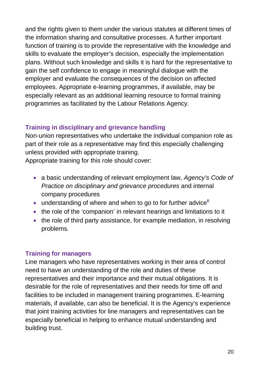and the rights given to them under the various statutes at different times of the information sharing and consultative processes. A further important function of training is to provide the representative with the knowledge and skills to evaluate the employer's decision, especially the implementation plans. Without such knowledge and skills it is hard for the representative to gain the self confidence to engage in meaningful dialogue with the employer and evaluate the consequences of the decision on affected employees. Appropriate e-learning programmes, if available, may be especially relevant as an additional learning resource to formal training programmes as facilitated by the Labour Relations Agency.

## **Training in disciplinary and grievance handling**

Non-union representatives who undertake the individual companion role as part of their role as a representative may find this especially challenging unless provided with appropriate training.

Appropriate training for this role should cover:

- a basic understanding of relevant employment law, *Agency's Code of Practice on disciplinary and grievance procedures* and internal company procedures
- understanding of where and when to go to for further advice<sup>6</sup>
- the role of the 'companion' in relevant hearings and limitations to it
- the role of third party assistance, for example mediation, in resolving problems.

## **Training for managers**

Line managers who have representatives working in their area of control need to have an understanding of the role and duties of these representatives and their importance and their mutual obligations. It is desirable for the role of representatives and their needs for time off and facilities to be included in management training programmes. E-learning materials, if available, can also be beneficial. It is the Agency's experience that joint training activities for line managers and representatives can be especially beneficial in helping to enhance mutual understanding and building trust.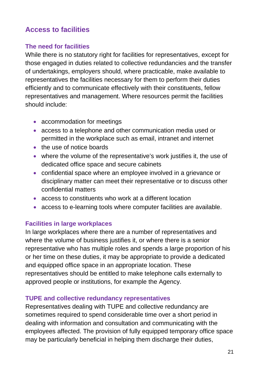# **Access to facilities**

## **The need for facilities**

While there is no statutory right for facilities for representatives, except for those engaged in duties related to collective redundancies and the transfer of undertakings, employers should, where practicable, make available to representatives the facilities necessary for them to perform their duties efficiently and to communicate effectively with their constituents, fellow representatives and management. Where resources permit the facilities should include:

- accommodation for meetings
- access to a telephone and other communication media used or permitted in the workplace such as email, intranet and internet
- the use of notice boards
- where the volume of the representative's work justifies it, the use of dedicated office space and secure cabinets
- confidential space where an employee involved in a grievance or disciplinary matter can meet their representative or to discuss other confidential matters
- access to constituents who work at a different location
- access to e-learning tools where computer facilities are available.

## **Facilities in large workplaces**

In large workplaces where there are a number of representatives and where the volume of business justifies it, or where there is a senior representative who has multiple roles and spends a large proportion of his or her time on these duties, it may be appropriate to provide a dedicated and equipped office space in an appropriate location. These representatives should be entitled to make telephone calls externally to approved people or institutions, for example the Agency.

#### **TUPE and collective redundancy representatives**

Representatives dealing with TUPE and collective redundancy are sometimes required to spend considerable time over a short period in dealing with information and consultation and communicating with the employees affected. The provision of fully equipped temporary office space may be particularly beneficial in helping them discharge their duties,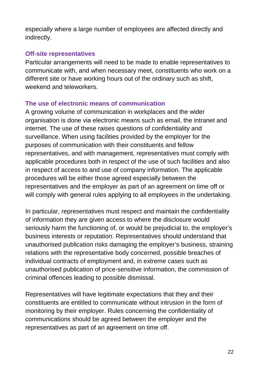especially where a large number of employees are affected directly and indirectly.

## **Off-site representatives**

Particular arrangements will need to be made to enable representatives to communicate with, and when necessary meet, constituents who work on a different site or have working hours out of the ordinary such as shift, weekend and teleworkers.

## **The use of electronic means of communication**

A growing volume of communication in workplaces and the wider organisation is done via electronic means such as email, the intranet and internet. The use of these raises questions of confidentiality and surveillance. When using facilities provided by the employer for the purposes of communication with their constituents and fellow representatives, and with management, representatives must comply with applicable procedures both in respect of the use of such facilities and also in respect of access to and use of company information. The applicable procedures will be either those agreed especially between the representatives and the employer as part of an agreement on time off or will comply with general rules applying to all employees in the undertaking.

In particular, representatives must respect and maintain the confidentiality of information they are given access to where the disclosure would seriously harm the functioning of, or would be prejudicial to, the employer's business interests or reputation. Representatives should understand that unauthorised publication risks damaging the employer's business, straining relations with the representative body concerned, possible breaches of individual contracts of employment and, in extreme cases such as unauthorised publication of price-sensitive information, the commission of criminal offences leading to possible dismissal.

Representatives will have legitimate expectations that they and their constituents are entitled to communicate without intrusion in the form of monitoring by their employer. Rules concerning the confidentiality of communications should be agreed between the employer and the representatives as part of an agreement on time off.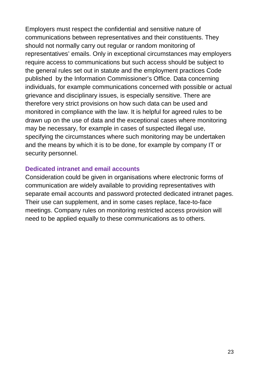Employers must respect the confidential and sensitive nature of communications between representatives and their constituents. They should not normally carry out regular or random monitoring of representatives' emails. Only in exceptional circumstances may employers require access to communications but such access should be subject to the general rules set out in statute and the employment practices Code published by the Information Commissioner's Office. Data concerning individuals, for example communications concerned with possible or actual grievance and disciplinary issues, is especially sensitive. There are therefore very strict provisions on how such data can be used and monitored in compliance with the law. It is helpful for agreed rules to be drawn up on the use of data and the exceptional cases where monitoring may be necessary, for example in cases of suspected illegal use, specifying the circumstances where such monitoring may be undertaken and the means by which it is to be done, for example by company IT or security personnel.

#### **Dedicated intranet and email accounts**

Consideration could be given in organisations where electronic forms of communication are widely available to providing representatives with separate email accounts and password protected dedicated intranet pages. Their use can supplement, and in some cases replace, face-to-face meetings. Company rules on monitoring restricted access provision will need to be applied equally to these communications as to others.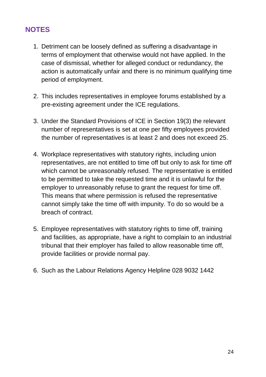# **NOTES**

- 1. Detriment can be loosely defined as suffering a disadvantage in terms of employment that otherwise would not have applied. In the case of dismissal, whether for alleged conduct or redundancy, the action is automatically unfair and there is no minimum qualifying time period of employment.
- 2. This includes representatives in employee forums established by a pre-existing agreement under the ICE regulations.
- 3. Under the Standard Provisions of ICE in Section 19(3) the relevant number of representatives is set at one per fifty employees provided the number of representatives is at least 2 and does not exceed 25.
- 4. Workplace representatives with statutory rights, including union representatives, are not entitled to time off but only to ask for time off which cannot be unreasonably refused. The representative is entitled to be permitted to take the requested time and it is unlawful for the employer to unreasonably refuse to grant the request for time off. This means that where permission is refused the representative cannot simply take the time off with impunity. To do so would be a breach of contract.
- 5. Employee representatives with statutory rights to time off, training and facilities, as appropriate, have a right to complain to an industrial tribunal that their employer has failed to allow reasonable time off, provide facilities or provide normal pay.
- 6. Such as the Labour Relations Agency Helpline 028 9032 1442